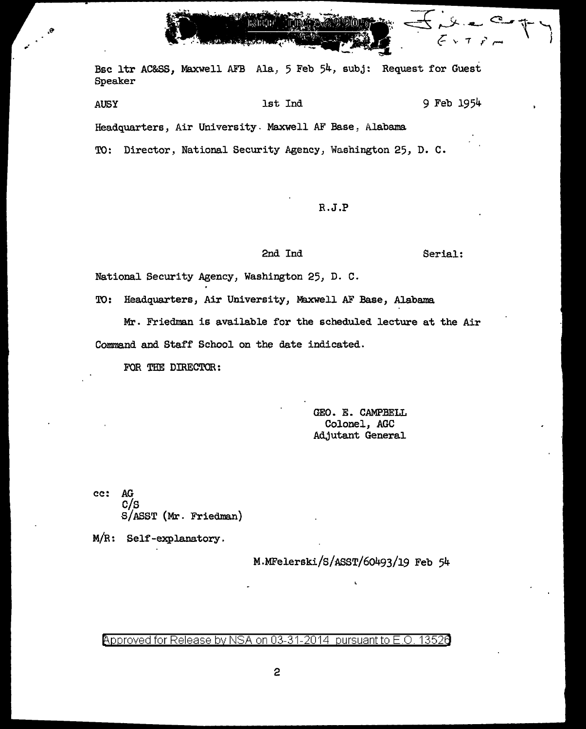Bsc ltr AC&SS, Maxwell AFB Ala, 5 Feb 54, subj: Request for Guest Speaker

AUSY 1st Ind 9 Feb 1954 Headquarters, Air University. Maxwell AF Base, Alabama

TO: Director, National Security Agency, Washington 25, D. c.

R.J.P

## 2nd Ind Serial:

National Security Agency, Washington 25, D. C.

TO: Headquarters, Air University, Maxwell AF Base, Alabama

Mr. Friedman is available for the scheduled lecture at the Air Command and Staff School on the date indicated.

FOR THE DIRECTOR:

 $\theta_i$ 

GEO. E. CAMPBELL Colonel, AGC Adjutant General

cc: AG c/s S/ ASST (Mr. Friedman)

M/R: Self-explanatory.

M.MFelerski/S/ASST/60493/19 Feb 54

Approved for Release by NSA on 03-31-2014 pursuant to E.O. 13526